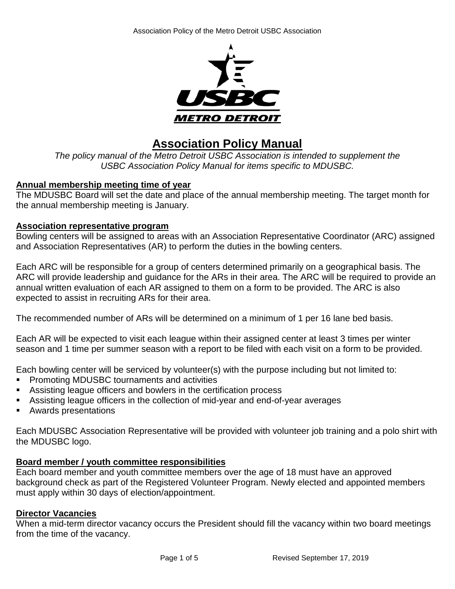

# **Association Policy Manual**

*The policy manual of the Metro Detroit USBC Association is intended to supplement the USBC Association Policy Manual for items specific to MDUSBC.*

# **Annual membership meeting time of year**

The MDUSBC Board will set the date and place of the annual membership meeting. The target month for the annual membership meeting is January.

### **Association representative program**

Bowling centers will be assigned to areas with an Association Representative Coordinator (ARC) assigned and Association Representatives (AR) to perform the duties in the bowling centers.

Each ARC will be responsible for a group of centers determined primarily on a geographical basis. The ARC will provide leadership and guidance for the ARs in their area. The ARC will be required to provide an annual written evaluation of each AR assigned to them on a form to be provided. The ARC is also expected to assist in recruiting ARs for their area.

The recommended number of ARs will be determined on a minimum of 1 per 16 lane bed basis.

Each AR will be expected to visit each league within their assigned center at least 3 times per winter season and 1 time per summer season with a report to be filed with each visit on a form to be provided.

Each bowling center will be serviced by volunteer(s) with the purpose including but not limited to:

- Promoting MDUSBC tournaments and activities
- Assisting league officers and bowlers in the certification process
- Assisting league officers in the collection of mid-year and end-of-year averages
- Awards presentations

Each MDUSBC Association Representative will be provided with volunteer job training and a polo shirt with the MDUSBC logo.

# **Board member / youth committee responsibilities**

Each board member and youth committee members over the age of 18 must have an approved background check as part of the Registered Volunteer Program. Newly elected and appointed members must apply within 30 days of election/appointment.

#### **Director Vacancies**

When a mid-term director vacancy occurs the President should fill the vacancy within two board meetings from the time of the vacancy.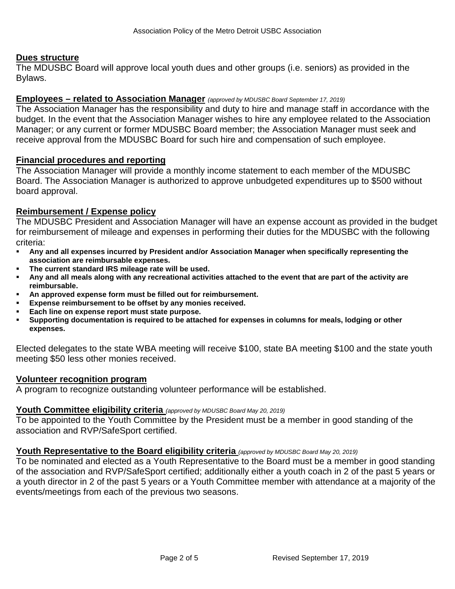## **Dues structure**

The MDUSBC Board will approve local youth dues and other groups (i.e. seniors) as provided in the Bylaws.

### **Employees – related to Association Manager** *(approved by MDUSBC Board September 17, 2019)*

The Association Manager has the responsibility and duty to hire and manage staff in accordance with the budget. In the event that the Association Manager wishes to hire any employee related to the Association Manager; or any current or former MDUSBC Board member; the Association Manager must seek and receive approval from the MDUSBC Board for such hire and compensation of such employee.

#### **Financial procedures and reporting**

The Association Manager will provide a monthly income statement to each member of the MDUSBC Board. The Association Manager is authorized to approve unbudgeted expenditures up to \$500 without board approval.

### **Reimbursement / Expense policy**

The MDUSBC President and Association Manager will have an expense account as provided in the budget for reimbursement of mileage and expenses in performing their duties for the MDUSBC with the following criteria:

- **Any and all expenses incurred by President and/or Association Manager when specifically representing the association are reimbursable expenses.**
- **The current standard IRS mileage rate will be used.**
- **Any and all meals along with any recreational activities attached to the event that are part of the activity are reimbursable.**
- **An approved expense form must be filled out for reimbursement.**
- **Expense reimbursement to be offset by any monies received.**<br>• Fach line on expense renort must state purpose.
- **Each line on expense report must state purpose.**
- **Supporting documentation is required to be attached for expenses in columns for meals, lodging or other expenses.**

Elected delegates to the state WBA meeting will receive \$100, state BA meeting \$100 and the state youth meeting \$50 less other monies received.

#### **Volunteer recognition program**

A program to recognize outstanding volunteer performance will be established.

#### **Youth Committee eligibility criteria** *(approved by MDUSBC Board May 20, 2019)*

To be appointed to the Youth Committee by the President must be a member in good standing of the association and RVP/SafeSport certified.

#### **Youth Representative to the Board eligibility criteria** *(approved by MDUSBC Board May 20, 2019)*

To be nominated and elected as a Youth Representative to the Board must be a member in good standing of the association and RVP/SafeSport certified; additionally either a youth coach in 2 of the past 5 years or a youth director in 2 of the past 5 years or a Youth Committee member with attendance at a majority of the events/meetings from each of the previous two seasons.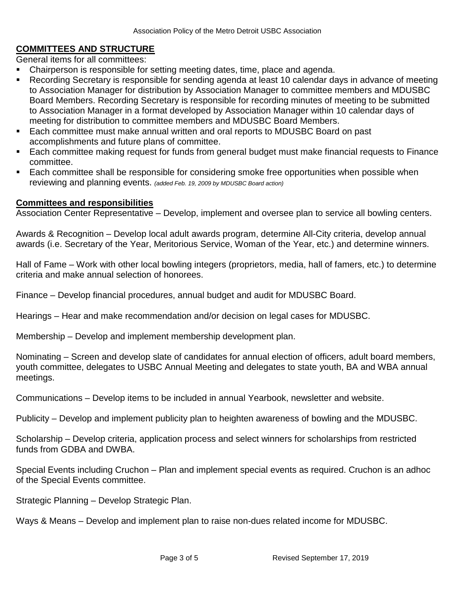# **COMMITTEES AND STRUCTURE**

General items for all committees:

- Chairperson is responsible for setting meeting dates, time, place and agenda.
- Recording Secretary is responsible for sending agenda at least 10 calendar days in advance of meeting to Association Manager for distribution by Association Manager to committee members and MDUSBC Board Members. Recording Secretary is responsible for recording minutes of meeting to be submitted to Association Manager in a format developed by Association Manager within 10 calendar days of meeting for distribution to committee members and MDUSBC Board Members.
- Each committee must make annual written and oral reports to MDUSBC Board on past accomplishments and future plans of committee.
- Each committee making request for funds from general budget must make financial requests to Finance committee.
- Each committee shall be responsible for considering smoke free opportunities when possible when reviewing and planning events. *(added Feb. 19, 2009 by MDUSBC Board action)*

### **Committees and responsibilities**

Association Center Representative – Develop, implement and oversee plan to service all bowling centers.

Awards & Recognition – Develop local adult awards program, determine All-City criteria, develop annual awards (i.e. Secretary of the Year, Meritorious Service, Woman of the Year, etc.) and determine winners.

Hall of Fame – Work with other local bowling integers (proprietors, media, hall of famers, etc.) to determine criteria and make annual selection of honorees.

Finance – Develop financial procedures, annual budget and audit for MDUSBC Board.

Hearings – Hear and make recommendation and/or decision on legal cases for MDUSBC.

Membership – Develop and implement membership development plan.

Nominating – Screen and develop slate of candidates for annual election of officers, adult board members, youth committee, delegates to USBC Annual Meeting and delegates to state youth, BA and WBA annual meetings.

Communications – Develop items to be included in annual Yearbook, newsletter and website.

Publicity – Develop and implement publicity plan to heighten awareness of bowling and the MDUSBC.

Scholarship – Develop criteria, application process and select winners for scholarships from restricted funds from GDBA and DWBA.

Special Events including Cruchon – Plan and implement special events as required. Cruchon is an adhoc of the Special Events committee.

Strategic Planning – Develop Strategic Plan.

Ways & Means – Develop and implement plan to raise non-dues related income for MDUSBC.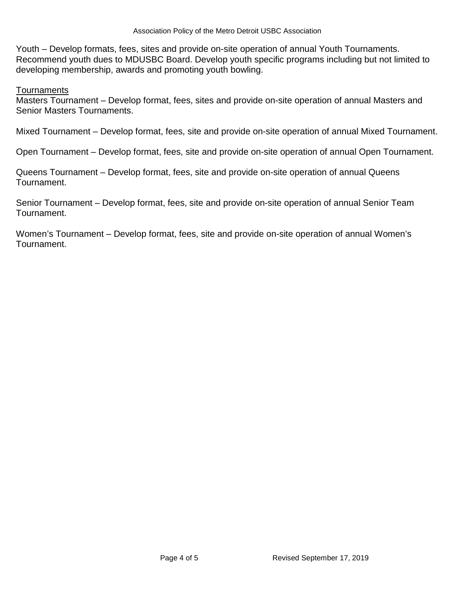Youth – Develop formats, fees, sites and provide on-site operation of annual Youth Tournaments. Recommend youth dues to MDUSBC Board. Develop youth specific programs including but not limited to developing membership, awards and promoting youth bowling.

### **Tournaments**

Masters Tournament – Develop format, fees, sites and provide on-site operation of annual Masters and Senior Masters Tournaments.

Mixed Tournament – Develop format, fees, site and provide on-site operation of annual Mixed Tournament.

Open Tournament – Develop format, fees, site and provide on-site operation of annual Open Tournament.

Queens Tournament – Develop format, fees, site and provide on-site operation of annual Queens Tournament.

Senior Tournament – Develop format, fees, site and provide on-site operation of annual Senior Team Tournament.

Women's Tournament – Develop format, fees, site and provide on-site operation of annual Women's Tournament.